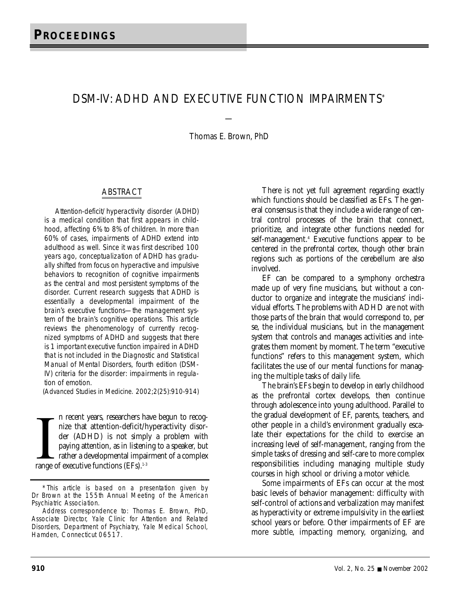# DSM-IV: ADHD AND EXECUTIVE FUNCTION IMPAIRMENTS\*

Thomas E. Brown, PhD

—

### ABSTRACT

Attention-deficit/hyperactivity disorder (ADHD) is a medical condition that first appears in childhood, affecting 6% to 8% of children. In more than 60% of cases, impairments of ADHD extend into adulthood as well. Since it was first described 100 years ago, conceptualization of ADHD has gradually shifted from focus on hyperactive and impulsive behaviors to recognition of cognitive impairments as the central and most persistent symptoms of the disorder. Current research suggests that ADHD is essentially a developmental impairment of the brain's executive functions—the management system of the brain's cognitive operations. This article reviews the phenomenology of currently recognized symptoms of ADHD and suggests that there is 1 important executive function impaired in ADHD that is not included in the *Diagnostic and Statistical Manual of Mental Disorders, fourth edition* (DSM-IV) criteria for the disorder: impairments in regulation of emotion.

(*Advanced Studies in Medicine.* 2002;2(25):910-914)

In recent years, researchers have that attention-deficit/t der (ADHD) is not simply paying attention, as in listeni rather a developmental impairing range of executive functions (EFs).<sup>1-3</sup> n recent years, researchers have begun to recognize that attention-deficit/hyperactivity disorder (ADHD) is not simply a problem with paying attention, as in listening to a speaker, but rather a developmental impairment of a complex

There is not yet full agreement regarding exactly which functions should be classified as EFs. The general consensus is that they include a wide range of central control processes of the brain that connect, prioritize, and integrate other functions needed for self-management.4 Executive functions appear to be centered in the prefrontal cortex, though other brain regions such as portions of the cerebellum are also involved.

EF can be compared to a symphony orchestra made up of very fine musicians, but without a conductor to organize and integrate the musicians' individual efforts. The problems with ADHD are not with those parts of the brain that would correspond to, per se, the individual musicians, but in the management system that controls and manages activities and integrates them moment by moment. The term "executive functions" refers to this management system, which facilitates the use of our mental functions for managing the multiple tasks of daily life.

The brain's EFs begin to develop in early childhood as the prefrontal cortex develops, then continue through adolescence into young adulthood. Parallel to the gradual development of EF, parents, teachers, and other people in a child's environment gradually escalate their expectations for the child to exercise an increasing level of self-management, ranging from the simple tasks of dressing and self-care to more complex responsibilities including managing multiple study courses in high school or driving a motor vehicle.

Some impairments of EFs can occur at the most basic levels of behavior management: difficulty with self-control of actions and verbalization may manifest as hyperactivity or extreme impulsivity in the earliest school years or before. Other impairments of EF are more subtle, impacting memory, organizing, and

<sup>\*</sup>This article is based on a presentation given by Dr Brown at the 155th Annual Meeting of the American Psychiatric Association.

Address correspondence to: Thomas E. Brown, PhD, Associate Director, Yale Clinic for Attention and Related Disorders, Department of Psychiatry, Yale Medical School, Hamden, Connecticut 06517.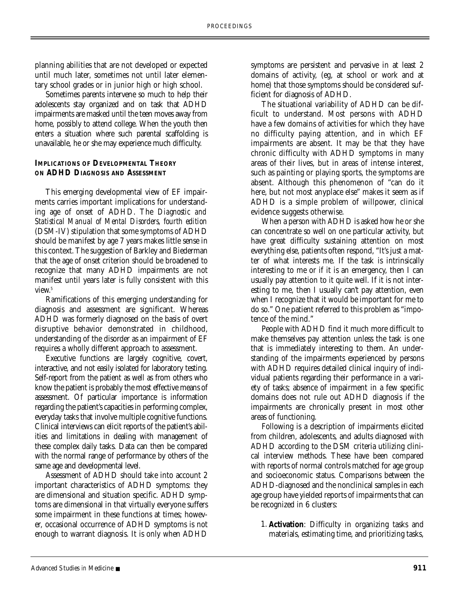planning abilities that are not developed or expected until much later, sometimes not until later elementary school grades or in junior high or high school.

Sometimes parents intervene so much to help their adolescents stay organized and on task that ADHD impairments are masked until the teen moves away from home, possibly to attend college. When the youth then enters a situation where such parental scaffolding is unavailable, he or she may experience much difficulty.

## **IMPLICATIONS OF DEVELOPMENTAL THEORY ON ADHD DIAGNOSIS AND ASSESSMENT**

This emerging developmental view of EF impairments carries important implications for understanding age of onset of ADHD. The *Diagnostic and Statistical Manual of Mental Disorders, fourth edition* (DSM-IV) stipulation that some symptoms of ADHD should be manifest by age 7 years makes little sense in this context. The suggestion of Barkley and Biederman that the age of onset criterion should be broadened to recognize that many ADHD impairments are not manifest until years later is fully consistent with this view.<sup>5</sup>

Ramifications of this emerging understanding for diagnosis and assessment are significant. Whereas ADHD was formerly diagnosed on the basis of overt disruptive behavior demonstrated in childhood, understanding of the disorder as an impairment of EF requires a wholly different approach to assessment.

Executive functions are largely cognitive, covert, interactive, and not easily isolated for laboratory testing. Self-report from the patient as well as from others who know the patient is probably the most effective means of assessment. Of particular importance is information regarding the patient's capacities in performing complex, everyday tasks that involve multiple cognitive functions. Clinical interviews can elicit reports of the patient's abilities and limitations in dealing with management of these complex daily tasks. Data can then be compared with the normal range of performance by others of the same age and developmental level.

Assessment of ADHD should take into account 2 important characteristics of ADHD symptoms: they are dimensional and situation specific. ADHD symptoms are dimensional in that virtually everyone suffers some impairment in these functions at times; however, occasional occurrence of ADHD symptoms is not enough to warrant diagnosis. It is only when ADHD

symptoms are persistent and pervasive in at least 2 domains of activity, (eg, at school or work and at home) that those symptoms should be considered sufficient for diagnosis of ADHD.

The situational variability of ADHD can be difficult to understand. Most persons with ADHD have a few domains of activities for which they have no difficulty paying attention, and in which EF impairments are absent. It may be that they have chronic difficulty with ADHD symptoms in many areas of their lives, but in areas of intense interest, such as painting or playing sports, the symptoms are absent. Although this phenomenon of "can do it here, but not most anyplace else" makes it seem as if ADHD is a simple problem of willpower, clinical evidence suggests otherwise.

When a person with ADHD is asked how he or she can concentrate so well on one particular activity, but have great difficulty sustaining attention on most everything else, patients often respond, "It's just a matter of what interests me. If the task is intrinsically interesting to me or if it is an emergency, then I can usually pay attention to it quite well. If it is not interesting to me, then I usually can't pay attention, even when I recognize that it would be important for me to do so." One patient referred to this problem as "impotence of the mind."

People with ADHD find it much more difficult to make themselves pay attention unless the task is one that is immediately interesting to them. An understanding of the impairments experienced by persons with ADHD requires detailed clinical inquiry of individual patients regarding their performance in a variety of tasks; absence of impairment in a few specific domains does not rule out ADHD diagnosis if the impairments are chronically present in most other areas of functioning.

Following is a description of impairments elicited from children, adolescents, and adults diagnosed with ADHD according to the DSM criteria utilizing clinical interview methods. These have been compared with reports of normal controls matched for age group and socioeconomic status. Comparisons between the ADHD-diagnosed and the nonclinical samples in each age group have yielded reports of impairments that can be recognized in 6 clusters:

1. **Activation**: Difficulty in organizing tasks and materials, estimating time, and prioritizing tasks,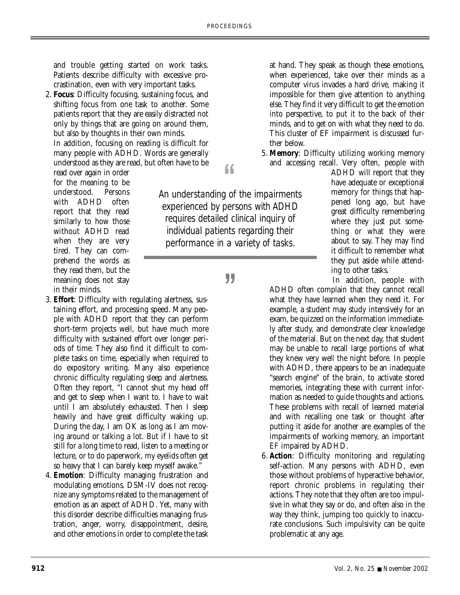and trouble getting started on work tasks. Patients describe difficulty with excessive procrastination, even with very important tasks.

2. **Focus**: Difficulty focusing, sustaining focus, and shifting focus from one task to another. Some patients report that they are easily distracted not only by things that are going on around them, but also by thoughts in their own minds. In addition, focusing on reading is difficult for

many people with ADHD. Words are generally understood as they are read, but often have to be

read over again in order for the meaning to be understood. Persons with ADHD often report that they read similarly to how those without ADHD read when they are very tired. They can comprehend the words as they read them, but the meaning does not stay in their minds.

- 3. **Effort**: Difficulty with regulating alertness, sustaining effort, and processing speed. Many people with ADHD report that they can perform short-term projects well, but have much more difficulty with sustained effort over longer periods of time. They also find it difficult to complete tasks on time, especially when required to do expository writing. Many also experience chronic difficulty regulating sleep and alertness. Often they report, "I cannot shut my head off and get to sleep when I want to. I have to wait until I am absolutely exhausted. Then I sleep heavily and have great difficulty waking up. During the day, I am OK as long as I am moving around or talking a lot. But if I have to sit still for a long time to read, listen to a meeting or lecture, or to do paperwork, my eyelids often get so heavy that I can barely keep myself awake."
- 4. **Emotion**: Difficulty managing frustration and modulating emotions. DSM-IV does not recognize any symptoms related to the management of emotion as an aspect of ADHD. Yet, many with this disorder describe difficulties managing frustration, anger, worry, disappointment, desire, and other emotions in order to complete the task

at hand. They speak as though these emotions, when experienced, take over their minds as a computer virus invades a hard drive, making it impossible for them give attention to anything else. They find it very difficult to get the emotion into perspective, to put it to the back of their minds, and to get on with what they need to do. This cluster of EF impairment is discussed further below.

5. **Memory**: Difficulty utilizing working memory and accessing recall. Very often, people with

> ADHD will report that they have adequate or exceptional memory for things that happened long ago, but have great difficulty remembering where they just put something or what they were about to say. They may find it difficult to remember what they put aside while attending to other tasks.

In addition, people with

ADHD often complain that they cannot recall what they have learned when they need it. For example, a student may study intensively for an exam, be quizzed on the information immediately after study, and demonstrate clear knowledge of the material. But on the next day, that student may be unable to recall large portions of what they knew very well the night before. In people with ADHD, there appears to be an inadequate "search engine" of the brain, to activate stored memories, integrating these with current information as needed to guide thoughts and actions. These problems with recall of learned material and with recalling one task or thought after putting it aside for another are examples of the impairments of working memory, an important EF impaired by ADHD.

6. **Action**: Difficulty monitoring and regulating self-action. Many persons with ADHD, even those without problems of hyperactive behavior, report chronic problems in regulating their actions. They note that they often are too impulsive in what they say or do, and often also in the way they think, jumping too quickly to inaccurate conclusions. Such impulsivity can be quite problematic at any age.

*An understanding of the impairments experienced by persons with ADHD requires detailed clinical inquiry of individual patients regarding their performance in a variety of tasks.*

*"*

*"*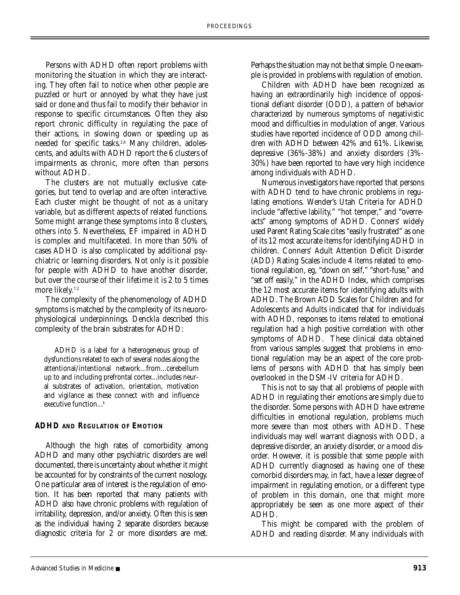Persons with ADHD often report problems with monitoring the situation in which they are interacting. They often fail to notice when other people are puzzled or hurt or annoyed by what they have just said or done and thus fail to modify their behavior in response to specific circumstances. Often they also report chronic difficulty in regulating the pace of their actions, in slowing down or speeding up as needed for specific tasks.<sup>2,6</sup> Many children, adolescents, and adults with ADHD report the 6 clusters of impairments as chronic, more often than persons without ADHD.

The clusters are not mutually exclusive categories, but tend to overlap and are often interactive. Each cluster might be thought of not as a unitary variable, but as different aspects of related functions. Some might arrange these symptoms into 8 clusters, others into 5. Nevertheless, EF impaired in ADHD is complex and multifaceted. In more than 50% of cases ADHD is also complicated by additional psychiatric or learning disorders. Not only is it possible for people with ADHD to have another disorder, but over the course of their lifetime it is 2 to 5 times more likely.<sup>7,2</sup>

The complexity of the phenomenology of ADHD symptoms is matched by the complexity of its neuorophysiological underpinnings. Denckla described this complexity of the brain substrates for ADHD:

ADHD is a label for a heterogeneous group of dysfunctions related to each of several nodes along the attentional/intentional network...from...cerebellum up to and including prefrontal cortex...includes neural substrates of activation, orientation, motivation and vigilance as these connect with and influence executive function...<sup>8</sup>

### **ADHD AND REGULATION OF EMOTION**

Although the high rates of comorbidity among ADHD and many other psychiatric disorders are well documented, there is uncertainty about whether it might be accounted for by constraints of the current nosology. One particular area of interest is the regulation of emotion. It has been reported that many patients with ADHD also have chronic problems with regulation of irritability, depression, and/or anxiety. Often this is seen as the individual having 2 separate disorders because diagnostic criteria for 2 or more disorders are met.

Perhaps the situation may not be that simple. One example is provided in problems with regulation of emotion.

Children with ADHD have been recognized as having an extraordinarily high incidence of oppositional defiant disorder (ODD), a pattern of behavior characterized by numerous symptoms of negativistic mood and difficulties in modulation of anger. Various studies have reported incidence of ODD among children with ADHD between 42% and 61%. Likewise, depressive (36%-38%) and anxiety disorders (3%- 30%) have been reported to have very high incidence among individuals with ADHD.

Numerous investigators have reported that persons with ADHD tend to have chronic problems in regulating emotions. Wender's Utah Criteria for ADHD include "affective lability," "hot temper," and "overreacts" among symptoms of ADHD. Conners' widely used Parent Rating Scale cites "easily frustrated" as one of its 12 most accurate items for identifying ADHD in children. Conners' Adult Attention Deficit Disorder (ADD) Rating Scales include 4 items related to emotional regulation, eg, "down on self," "short-fuse," and "set off easily," in the ADHD Index, which comprises the 12 most accurate items for identifying adults with ADHD. The Brown ADD Scales for Children and for Adolescents and Adults indicated that for individuals with ADHD, responses to items related to emotional regulation had a high positive correlation with other symptoms of ADHD. These clinical data obtained from various samples suggest that problems in emotional regulation may be an aspect of the core problems of persons with ADHD that has simply been overlooked in the DSM-IV criteria for ADHD.

This is not to say that all problems of people with ADHD in regulating their emotions are simply due to the disorder. Some persons with ADHD have extreme difficulties in emotional regulation, problems much more severe than most others with ADHD. These individuals may well warrant diagnosis with ODD, a depressive disorder, an anxiety disorder, or a mood disorder. However, it is possible that some people with ADHD currently diagnosed as having one of these comorbid disorders may, in fact, have a lesser degree of impairment in regulating emotion, or a different type of problem in this domain, one that might more appropriately be seen as one more aspect of their ADHD.

This might be compared with the problem of ADHD and reading disorder. Many individuals with